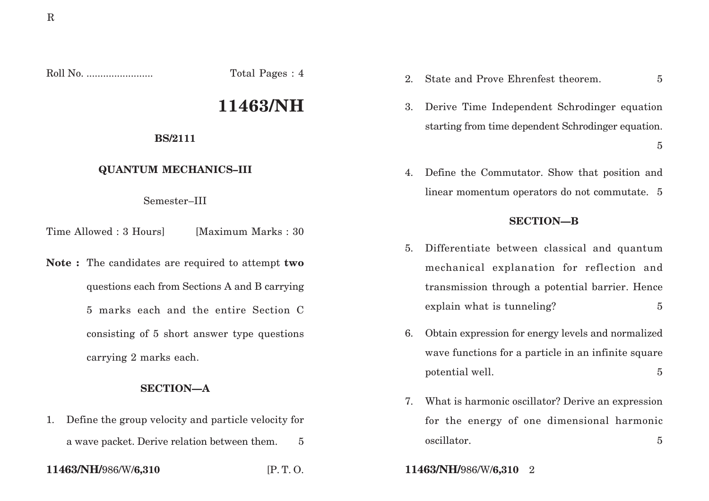Roll No. ........................ Total Pages : 4

# **11463/NH**

#### **BS/2111**

## **QUANTUM MECHANICS–III**

Semester–III

Time Allowed : 3 Hoursl [Maximum Marks : 30]

**Note :** The candidates are required to attempt **two** questions each from Sections A and B carrying 5 marks each and the entire Section C consisting of 5 short answer type questions carrying 2 marks each.

### **SECTION—A**

1. Define the group velocity and particle velocity for a wave packet. Derive relation between them. 5

- 2. State and Prove Ehrenfest theorem. 5
- 3. Derive Time Independent Schrodinger equation starting from time dependent Schrodinger equation.

4. Define the Commutator. Show that position and linear momentum operators do not commutate. 5

### **SECTION—B**

- 5. Differentiate between classical and quantum mechanical explanation for reflection and transmission through a potential barrier. Hence explain what is tunneling?  $5 \frac{1}{2}$
- 6. Obtain expression for energy levels and normalized wave functions for a particle in an infinite square potential well. 5
- 7. What is harmonic oscillator? Derive an expression for the energy of one dimensional harmonic oscillator. 5
- **11463/NH/**986/W/**6,310** [P. T. O. **11463/NH/**986/W/**6,310** 2

5